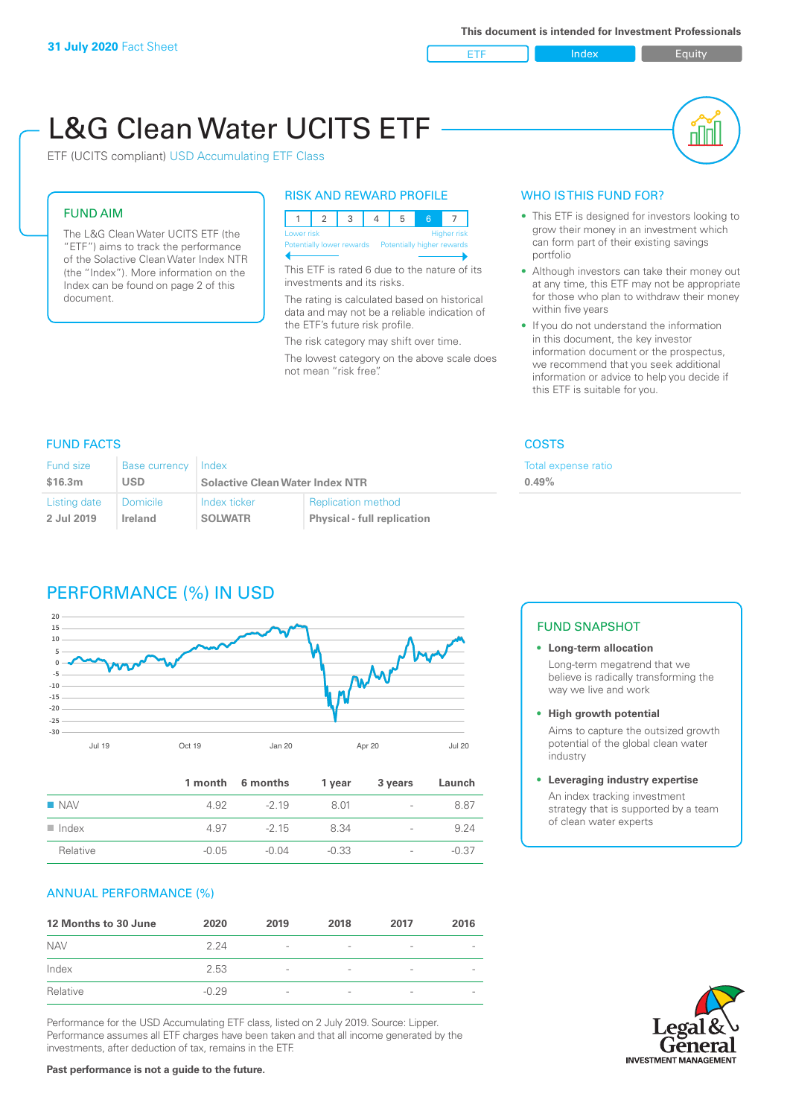ETF Index Buity

nl M

# L&G Clean Water UCITS ETF



#### FUND AIM

The L&G Clean Water UCITS ETF (the "ETF") aims to track the performance of the Solactive Clean Water Index NTR (the "Index"). More information on the Index can be found on page 2 of this document.

#### RISK AND REWARD PROFILE



This ETF is rated 6 due to the nature of its investments and its risks.

The rating is calculated based on historical data and may not be a reliable indication of the ETF's future risk profile.

The risk category may shift over time. The lowest category on the above scale does not mean "risk free".

#### WHO IS THIS FUND FOR?

- This ETF is designed for investors looking to grow their money in an investment which can form part of their existing savings portfolio
- Although investors can take their money out at any time, this ETF may not be appropriate for those who plan to withdraw their money within five years
- If you do not understand the information in this document, the key investor information document or the prospectus, we recommend that you seek additional information or advice to help you decide if this ETF is suitable for you.

**pense ratio** 

#### FUND FACTS COSTS

| <b>Fund size</b> | Base currency   Index | <b>Solactive Clean Water Index NTR</b> |                                    | <b>Total</b> ex |
|------------------|-----------------------|----------------------------------------|------------------------------------|-----------------|
| \$16.3m          | USD                   |                                        |                                    | $0.49\%$        |
| Listing date     | Domicile              | Index ticker                           | <b>Replication method</b>          |                 |
| 2 Jul 2019       | Ireland               | <b>SOLWATR</b>                         | <b>Physical - full replication</b> |                 |

# PERFORMANCE (%) IN USD



|                      |         | 1 month 6 months | 1 year  | 3 years                  | Launch  |
|----------------------|---------|------------------|---------|--------------------------|---------|
| $\blacksquare$ NAV   | 4.92    | $-219$           | 801     | $\overline{\phantom{a}}$ | 8.87    |
| $\blacksquare$ Index | 4.97    | $-215$           | 8.34    | $\overline{\phantom{0}}$ | 9.24    |
| Relative             | $-0.05$ | -0.04            | $-0.33$ | $\overline{\phantom{a}}$ | $-0.37$ |

#### ANNUAL PERFORMANCE (%)

| 12 Months to 30 June | 2020    | 2019                     | 2018                     | 2017            | 2016 |
|----------------------|---------|--------------------------|--------------------------|-----------------|------|
| <b>NAV</b>           | 2 24    | $\overline{\phantom{a}}$ |                          | ۰               |      |
| Index                | 2.53    | $\overline{\phantom{a}}$ | $\overline{\phantom{a}}$ | $\qquad \qquad$ |      |
| Relative             | $-0.29$ | $\overline{\phantom{a}}$ |                          | ۰               |      |

Performance for the USD Accumulating ETF class, listed on 2 July 2019. Source: Lipper. Performance assumes all ETF charges have been taken and that all income generated by the investments, after deduction of tax, remains in the ETF.

#### FUND SNAPSHOT

**• Long-term allocation** Long-term megatrend that we believe is radically transforming the way we live and work

**• High growth potential**

Aims to capture the outsized growth potential of the global clean water industry

#### **• Leveraging industry expertise**

An index tracking investment strategy that is supported by a team of clean water experts



#### **Past performance is not a guide to the future.**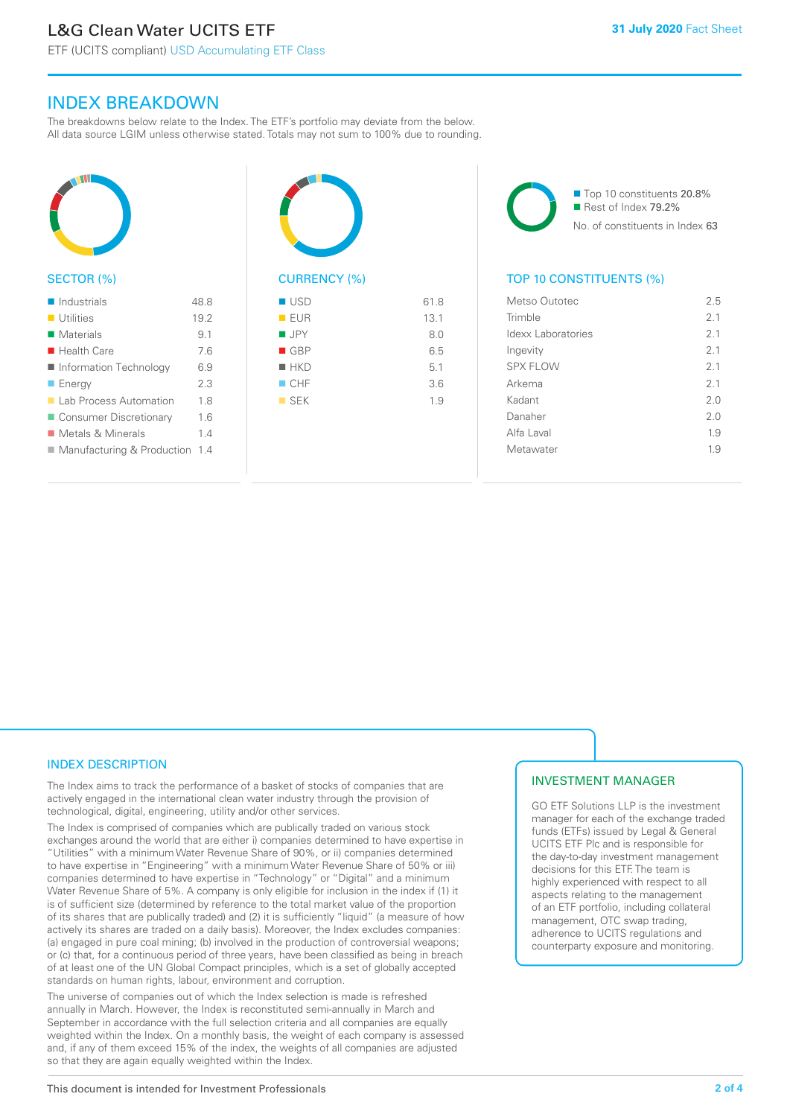## INDEX BREAKDOWN

The breakdowns below relate to the Index. The ETF's portfolio may deviate from the below. All data source LGIM unless otherwise stated. Totals may not sum to 100% due to rounding.



#### SECTOR (%)

| $\blacksquare$ Industrials       | 488  |
|----------------------------------|------|
| $\blacksquare$ Utilities         | 19.2 |
| Materials                        | 9.1  |
| $\blacksquare$ Health Care       | 76   |
| ■ Information Technology         | 6.9  |
| $\blacksquare$ Energy            | 23   |
| Lab Process Automation           | 18   |
| ■ Consumer Discretionary         | 1.6  |
| ■ Metals & Minerals              | 14   |
| ■ Manufacturing & Production 1.4 |      |
|                                  |      |



#### $\blacksquare$  USD 61.8  $\blacksquare$  FUR 13.1  $I \cup PY$  8.0  $\Box$  GBP 6.5  $H$ KD 5.1  $CHF$  3.6

 $SFK$  1.9

■ Top 10 constituents 20.8% Rest of Index 79.2% No. of constituents in Index 63

### TOP 10 CONSTITUENTS (%)

| Metso Outotec      | 25             |
|--------------------|----------------|
| Trimble            | 2 <sub>1</sub> |
| Idexx Laboratories | 2.1            |
| Ingevity           | 2 <sub>1</sub> |
| <b>SPX FLOW</b>    | 2.1            |
| Arkema             | 2.1            |
| Kadant             | 20             |
| Danaher            | 20             |
| Alfa Laval         | 19             |
| Metawater          | 19             |
|                    |                |

#### INDEX DESCRIPTION

The Index aims to track the performance of a basket of stocks of companies that are actively engaged in the international clean water industry through the provision of technological, digital, engineering, utility and/or other services.

The Index is comprised of companies which are publically traded on various stock exchanges around the world that are either i) companies determined to have expertise in "Utilities" with a minimum Water Revenue Share of 90%, or ii) companies determined to have expertise in "Engineering" with a minimum Water Revenue Share of 50% or iii) companies determined to have expertise in "Technology" or "Digital" and a minimum Water Revenue Share of 5%. A company is only eligible for inclusion in the index if (1) it is of sufficient size (determined by reference to the total market value of the proportion of its shares that are publically traded) and (2) it is sufficiently "liquid" (a measure of how actively its shares are traded on a daily basis). Moreover, the Index excludes companies: (a) engaged in pure coal mining; (b) involved in the production of controversial weapons; or (c) that, for a continuous period of three years, have been classified as being in breach of at least one of the UN Global Compact principles, which is a set of globally accepted standards on human rights, labour, environment and corruption.

The universe of companies out of which the Index selection is made is refreshed annually in March. However, the Index is reconstituted semi-annually in March and September in accordance with the full selection criteria and all companies are equally weighted within the Index. On a monthly basis, the weight of each company is assessed and, if any of them exceed 15% of the index, the weights of all companies are adjusted so that they are again equally weighted within the Index.

#### INVESTMENT MANAGER

GO ETF Solutions LLP is the investment manager for each of the exchange traded funds (ETFs) issued by Legal & General UCITS ETF Plc and is responsible for the day-to-day investment management decisions for this ETF. The team is highly experienced with respect to all aspects relating to the management of an ETF portfolio, including collateral management, OTC swap trading, adherence to UCITS regulations and counterparty exposure and monitoring.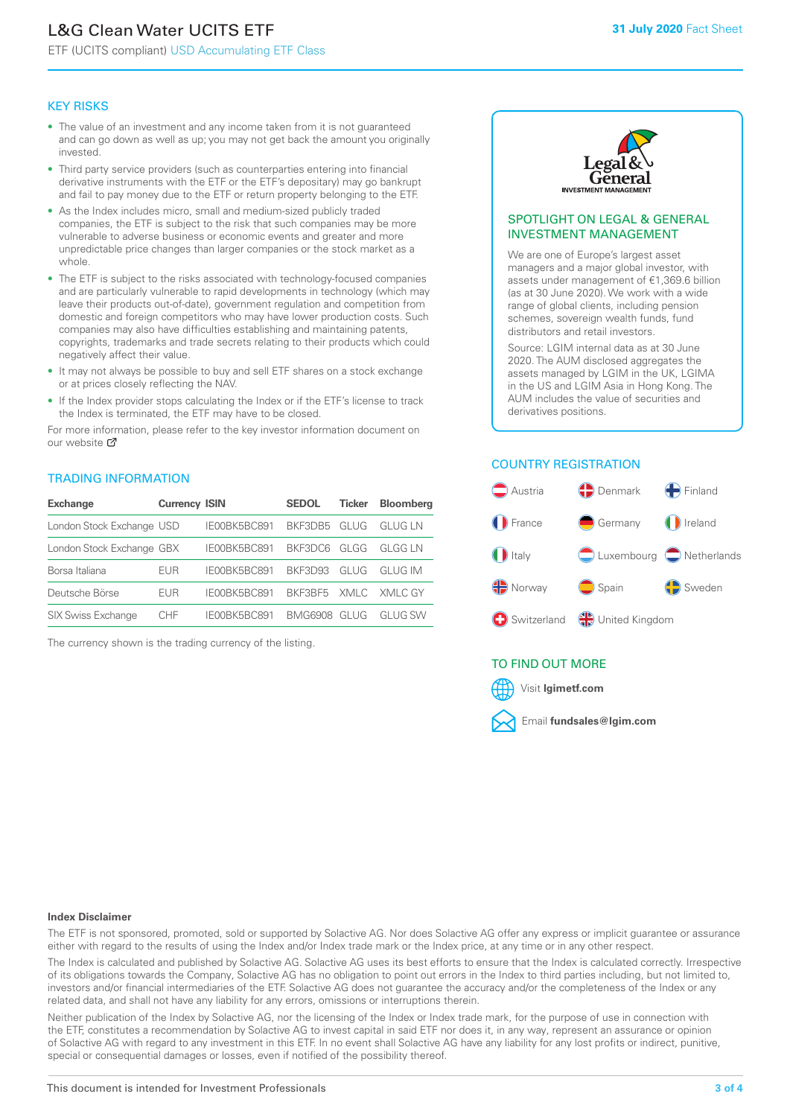# L&G Clean Water UCITS ETF

ETF (UCITS compliant) USD Accumulating ETF Class

#### KEY RISKS

- The value of an investment and any income taken from it is not guaranteed and can go down as well as up; you may not get back the amount you originally invested.
- Third party service providers (such as counterparties entering into financial derivative instruments with the ETF or the ETF's depositary) may go bankrupt and fail to pay money due to the ETF or return property belonging to the ETF.
- As the Index includes micro, small and medium-sized publicly traded companies, the ETF is subject to the risk that such companies may be more vulnerable to adverse business or economic events and greater and more unpredictable price changes than larger companies or the stock market as a whole.
- The ETF is subject to the risks associated with technology-focused companies and are particularly vulnerable to rapid developments in technology (which may leave their products out-of-date), government regulation and competition from domestic and foreign competitors who may have lower production costs. Such companies may also have difficulties establishing and maintaining patents, copyrights, trademarks and trade secrets relating to their products which could negatively affect their value.
- It may not always be possible to buy and sell ETF shares on a stock exchange or at prices closely reflecting the NAV.
- If the Index provider stops calculating the Index or if the ETF's license to track the Index is terminated, the ETF may have to be closed.

For more information, please refer to the key investor information document on our website Ø

#### TRADING INFORMATION

| <b>Exchange</b>           | <b>Currency ISIN</b> |              | <b>SEDOL</b>   | <b>Ticker</b> | <b>Bloomberg</b> |
|---------------------------|----------------------|--------------|----------------|---------------|------------------|
| London Stock Exchange USD |                      | IE00BK5BC891 | BKF3DB5        | GLUG          | <b>GLUG LN</b>   |
| London Stock Exchange GBX |                      | IE00BK5BC891 | BKF3DC6        | GLGG          | GI GG I N        |
| Borsa Italiana            | EUR                  | IE00BK5BC891 | <b>BKE3D93</b> | GLUG          | GI UG IM         |
| Deutsche Börse            | EUR                  | IE00BK5BC891 | BKF3BF5        |               | XMLC XMLC GY     |
| <b>SIX Swiss Exchange</b> | CHE                  | IF00BK5BC891 | BMG6908        | GI UG         | GI UG SW         |

The currency shown is the trading currency of the listing.



#### SPOTLIGHT ON LEGAL & GENERAL INVESTMENT MANAGEMENT

We are one of Europe's largest asset managers and a major global investor, with assets under management of €1,369.6 billion (as at 30 June 2020). We work with a wide range of global clients, including pension schemes, sovereign wealth funds, fund distributors and retail investors.

Source: LGIM internal data as at 30 June 2020. The AUM disclosed aggregates the assets managed by LGIM in the UK, LGIMA in the US and LGIM Asia in Hong Kong. The AUM includes the value of securities and derivatives positions.

#### COUNTRY REGISTRATION



#### TO FIND OUT MORE



#### **Index Disclaimer**

The ETF is not sponsored, promoted, sold or supported by Solactive AG. Nor does Solactive AG offer any express or implicit guarantee or assurance either with regard to the results of using the Index and/or Index trade mark or the Index price, at any time or in any other respect.

The Index is calculated and published by Solactive AG. Solactive AG uses its best efforts to ensure that the Index is calculated correctly. Irrespective of its obligations towards the Company, Solactive AG has no obligation to point out errors in the Index to third parties including, but not limited to, investors and/or financial intermediaries of the ETF. Solactive AG does not guarantee the accuracy and/or the completeness of the Index or any related data, and shall not have any liability for any errors, omissions or interruptions therein.

Neither publication of the Index by Solactive AG, nor the licensing of the Index or Index trade mark, for the purpose of use in connection with the ETF, constitutes a recommendation by Solactive AG to invest capital in said ETF nor does it, in any way, represent an assurance or opinion of Solactive AG with regard to any investment in this ETF. In no event shall Solactive AG have any liability for any lost profits or indirect, punitive, special or consequential damages or losses, even if notified of the possibility thereof.